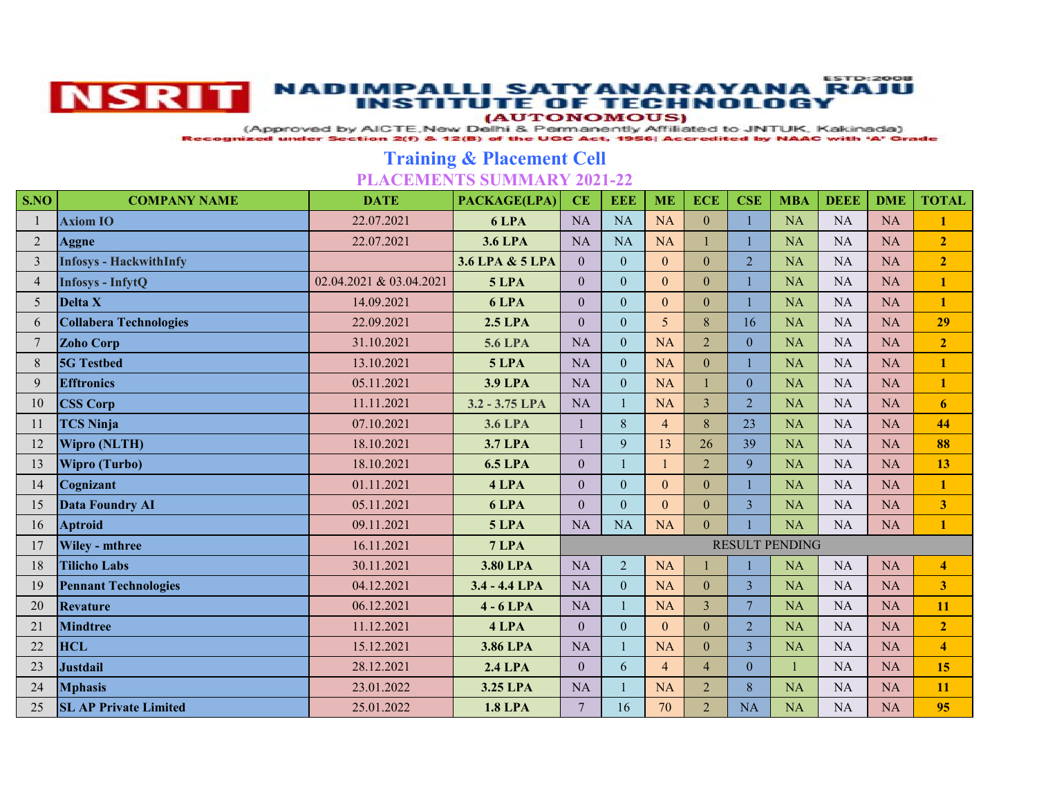

## **ESTD:2008** NSRIT NADIMPALLI SATYANARAYANA RAJU

(AUTONOMOUS)

(Approved by AICTE, New Delhi & Permanently Affiliated to JNTUK, Kakinada)

Recognized under Section 2(f) & 12(B) of the UGC Act, 1956| Accredited by NAAC with 'A' Grade

## **Training & Placement Cell PLACEMENTS SUMMARY 2021-22**

| S.NO            | <b>COMPANY NAME</b>           | <b>DATE</b>             | PACKAGE(LPA)    | CE                    | <b>EEE</b>     | <b>ME</b>      | <b>ECE</b>     | <b>CSE</b>     | <b>MBA</b> | <b>DEEE</b> | <b>DME</b> | <b>TOTAL</b>            |
|-----------------|-------------------------------|-------------------------|-----------------|-----------------------|----------------|----------------|----------------|----------------|------------|-------------|------------|-------------------------|
|                 | <b>Axiom IO</b>               | 22.07.2021              | 6 LPA           | <b>NA</b>             | <b>NA</b>      | <b>NA</b>      | $\overline{0}$ | 1              | <b>NA</b>  | <b>NA</b>   | NA         | $\mathbf{1}$            |
| 2               | <b>Aggne</b>                  | 22.07.2021              | <b>3.6 LPA</b>  | <b>NA</b>             | <b>NA</b>      | NA             |                |                | <b>NA</b>  | <b>NA</b>   | NA         | $\overline{2}$          |
| 3               | <b>Infosys - HackwithInfy</b> |                         | 3.6 LPA & 5 LPA | $\overline{0}$        | $\overline{0}$ | $\mathbf{0}$   | $\overline{0}$ | $\overline{2}$ | <b>NA</b>  | <b>NA</b>   | NA         | $\overline{2}$          |
| $\overline{4}$  | <b>Infosys - InfytQ</b>       | 02.04.2021 & 03.04.2021 | 5 LPA           | $\overline{0}$        | $\overline{0}$ | $\theta$       | $\overline{0}$ |                | <b>NA</b>  | <b>NA</b>   | NA         | $\mathbf{1}$            |
| 5               | Delta X                       | 14.09.2021              | 6 LPA           | $\overline{0}$        | $\overline{0}$ | $\mathbf{0}$   | $\overline{0}$ |                | <b>NA</b>  | <b>NA</b>   | NA         | $\mathbf{1}$            |
| 6               | <b>Collabera Technologies</b> | 22.09.2021              | <b>2.5 LPA</b>  | $\overline{0}$        | $\overline{0}$ | $\overline{5}$ | 8              | 16             | NA         | NA          | NA         | 29                      |
| $7\phantom{.0}$ | <b>Zoho Corp</b>              | 31.10.2021              | <b>5.6 LPA</b>  | <b>NA</b>             | $\overline{0}$ | NA             | $\overline{2}$ | $\mathbf{0}$   | <b>NA</b>  | <b>NA</b>   | NA         | $\overline{2}$          |
| 8               | <b>5G</b> Testbed             | 13.10.2021              | <b>5 LPA</b>    | NA                    | $\overline{0}$ | <b>NA</b>      | $\overline{0}$ |                | NA         | <b>NA</b>   | NA         | $\mathbf{1}$            |
| 9               | <b>Efftronics</b>             | 05.11.2021              | <b>3.9 LPA</b>  | <b>NA</b>             | $\overline{0}$ | <b>NA</b>      |                | $\theta$       | <b>NA</b>  | <b>NA</b>   | NA         | $\mathbf{1}$            |
| 10              | <b>CSS Corp</b>               | 11.11.2021              | 3.2 - 3.75 LPA  | <b>NA</b>             | $\mathbf{1}$   | <b>NA</b>      | 3              | $\overline{2}$ | <b>NA</b>  | <b>NA</b>   | <b>NA</b>  | 6                       |
| 11              | <b>TCS Ninja</b>              | 07.10.2021              | <b>3.6 LPA</b>  |                       | 8              | $\overline{4}$ | 8              | 23             | <b>NA</b>  | <b>NA</b>   | NA         | 44                      |
| 12              | <b>Wipro (NLTH)</b>           | 18.10.2021              | <b>3.7 LPA</b>  |                       | 9              | 13             | 26             | 39             | NA         | <b>NA</b>   | NA         | 88                      |
| 13              | <b>Wipro (Turbo)</b>          | 18.10.2021              | <b>6.5 LPA</b>  | $\overline{0}$        |                |                | $\overline{2}$ | 9              | <b>NA</b>  | <b>NA</b>   | <b>NA</b>  | 13                      |
| 14              | Cognizant                     | 01.11.2021              | 4 LPA           | $\overline{0}$        | $\overline{0}$ | $\overline{0}$ | $\overline{0}$ |                | <b>NA</b>  | <b>NA</b>   | NA         | $\mathbf{1}$            |
| 15              | <b>Data Foundry AI</b>        | 05.11.2021              | 6 LPA           | $\overline{0}$        | $\overline{0}$ | $\theta$       | $\overline{0}$ | 3              | <b>NA</b>  | <b>NA</b>   | NA         | $\overline{\mathbf{3}}$ |
| 16              | <b>Aptroid</b>                | 09.11.2021              | <b>5 LPA</b>    | <b>NA</b>             | <b>NA</b>      | <b>NA</b>      | $\Omega$       |                | <b>NA</b>  | <b>NA</b>   | NA         | $\mathbf{1}$            |
| 17              | Wiley - mthree                | 16.11.2021              | 7 LPA           | <b>RESULT PENDING</b> |                |                |                |                |            |             |            |                         |
| 18              | <b>Tilicho Labs</b>           | 30.11.2021              | <b>3.80 LPA</b> | NA                    | $\overline{2}$ | <b>NA</b>      |                |                | NA         | <b>NA</b>   | NA         | $\overline{\mathbf{4}}$ |
| 19              | <b>Pennant Technologies</b>   | 04.12.2021              | 3.4 - 4.4 LPA   | <b>NA</b>             | $\overline{0}$ | NA             | $\overline{0}$ | $\overline{3}$ | <b>NA</b>  | <b>NA</b>   | <b>NA</b>  | $\overline{\mathbf{3}}$ |
| 20              | Revature                      | 06.12.2021              | $4 - 6$ LPA     | <b>NA</b>             | $\mathbf{1}$   | <b>NA</b>      | $\overline{3}$ | $\overline{7}$ | <b>NA</b>  | <b>NA</b>   | NA         | 11                      |
| 21              | <b>Mindtree</b>               | 11.12.2021              | 4 LPA           | $\overline{0}$        | $\overline{0}$ | $\Omega$       | $\overline{0}$ | $\overline{2}$ | <b>NA</b>  | <b>NA</b>   | NA         | $\overline{2}$          |
| 22              | <b>HCL</b>                    | 15.12.2021              | 3.86 LPA        | <b>NA</b>             |                | <b>NA</b>      | $\overline{0}$ | $\overline{3}$ | <b>NA</b>  | NA          | NA         | $\overline{\mathbf{4}}$ |
| 23              | Justdail                      | 28.12.2021              | <b>2.4 LPA</b>  | $\overline{0}$        | 6              | $\overline{4}$ | $\overline{4}$ | $\mathbf{0}$   |            | <b>NA</b>   | NA         | 15                      |
| 24              | <b>Mphasis</b>                | 23.01.2022              | 3.25 LPA        | <b>NA</b>             | $\mathbf{1}$   | <b>NA</b>      | $\overline{2}$ | 8              | <b>NA</b>  | <b>NA</b>   | <b>NA</b>  | 11                      |
| 25              | <b>SL AP Private Limited</b>  | 25.01.2022              | <b>1.8 LPA</b>  | $\overline{7}$        | 16             | 70             | $\overline{2}$ | NA             | <b>NA</b>  | <b>NA</b>   | NA         | 95                      |